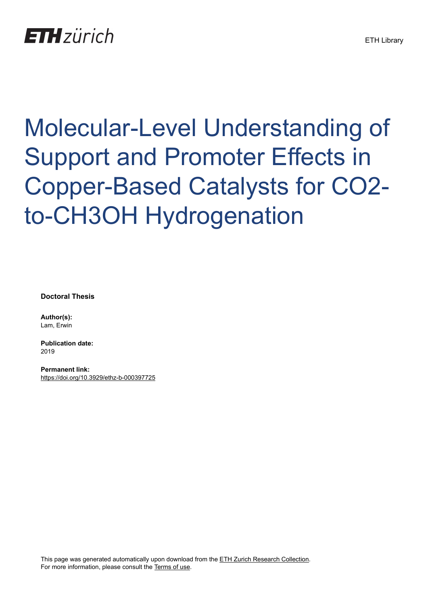

## Molecular-Level Understanding of Support and Promoter Effects in Copper-Based Catalysts for CO2 to-CH3OH Hydrogenation

**Doctoral Thesis**

**Author(s):** Lam, Erwin

**Publication date:** 2019

**Permanent link:** <https://doi.org/10.3929/ethz-b-000397725>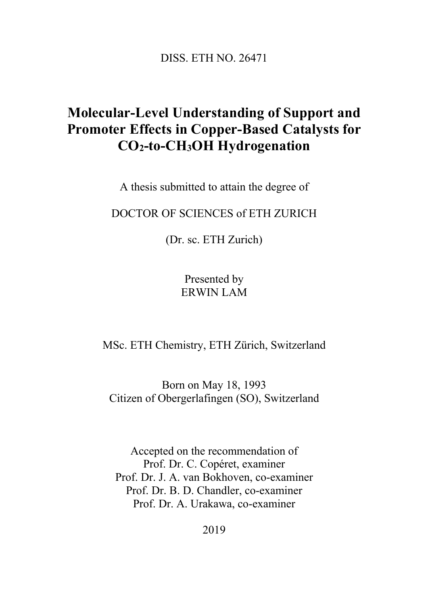DISS. ETH NO. 26471

## **Molecular-Level Understanding of Support and Promoter Effects in Copper-Based Catalysts for CO2-to-CH3OH Hydrogenation**

A thesis submitted to attain the degree of

DOCTOR OF SCIENCES of ETH ZURICH

(Dr. sc. ETH Zurich)

Presented by ERWIN LAM

MSc. ETH Chemistry, ETH Zürich, Switzerland

Born on May 18, 1993 Citizen of Obergerlafingen (SO), Switzerland

Accepted on the recommendation of Prof. Dr. C. Copéret, examiner Prof. Dr. J. A. van Bokhoven, co-examiner Prof. Dr. B. D. Chandler, co-examiner Prof. Dr. A. Urakawa, co-examiner

2019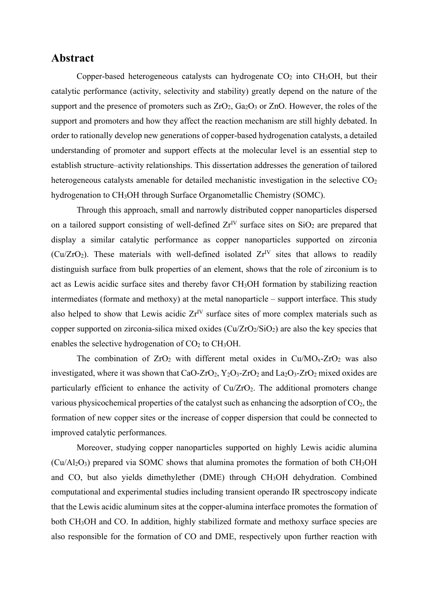## **Abstract**

Copper-based heterogeneous catalysts can hydrogenate  $CO<sub>2</sub>$  into CH<sub>3</sub>OH, but their catalytic performance (activity, selectivity and stability) greatly depend on the nature of the support and the presence of promoters such as  $ZrO_2$ ,  $Ga_2O_3$  or  $ZnO$ . However, the roles of the support and promoters and how they affect the reaction mechanism are still highly debated. In order to rationally develop new generations of copper-based hydrogenation catalysts, a detailed understanding of promoter and support effects at the molecular level is an essential step to establish structure–activity relationships. This dissertation addresses the generation of tailored heterogeneous catalysts amenable for detailed mechanistic investigation in the selective  $CO<sub>2</sub>$ hydrogenation to CH<sub>3</sub>OH through Surface Organometallic Chemistry (SOMC).

Through this approach, small and narrowly distributed copper nanoparticles dispersed on a tailored support consisting of well-defined  $Zr^{\text{IV}}$  surface sites on SiO<sub>2</sub> are prepared that display a similar catalytic performance as copper nanoparticles supported on zirconia (Cu/ZrO<sub>2</sub>). These materials with well-defined isolated  $Zr^{\text{IV}}$  sites that allows to readily distinguish surface from bulk properties of an element, shows that the role of zirconium is to act as Lewis acidic surface sites and thereby favor CH3OH formation by stabilizing reaction intermediates (formate and methoxy) at the metal nanoparticle – support interface. This study also helped to show that Lewis acidic  $Zr^{\text{IV}}$  surface sites of more complex materials such as copper supported on zirconia-silica mixed oxides  $(Cu/ZrO<sub>2</sub>/SiO<sub>2</sub>)$  are also the key species that enables the selective hydrogenation of  $CO<sub>2</sub>$  to  $CH<sub>3</sub>OH$ .

The combination of  $ZrO_2$  with different metal oxides in  $Cu/MO_x-ZrO_2$  was also investigated, where it was shown that CaO-ZrO<sub>2</sub>, Y<sub>2</sub>O<sub>3</sub>-ZrO<sub>2</sub> and La<sub>2</sub>O<sub>3</sub>-ZrO<sub>2</sub> mixed oxides are particularly efficient to enhance the activity of  $Cu/ZrO<sub>2</sub>$ . The additional promoters change various physicochemical properties of the catalyst such as enhancing the adsorption of  $CO<sub>2</sub>$ , the formation of new copper sites or the increase of copper dispersion that could be connected to improved catalytic performances.

Moreover, studying copper nanoparticles supported on highly Lewis acidic alumina  $(Cu/Al<sub>2</sub>O<sub>3</sub>)$  prepared via SOMC shows that alumina promotes the formation of both  $CH<sub>3</sub>OH$ and CO, but also yields dimethylether (DME) through CH3OH dehydration. Combined computational and experimental studies including transient operando IR spectroscopy indicate that the Lewis acidic aluminum sites at the copper-alumina interface promotes the formation of both CH<sub>3</sub>OH and CO. In addition, highly stabilized formate and methoxy surface species are also responsible for the formation of CO and DME, respectively upon further reaction with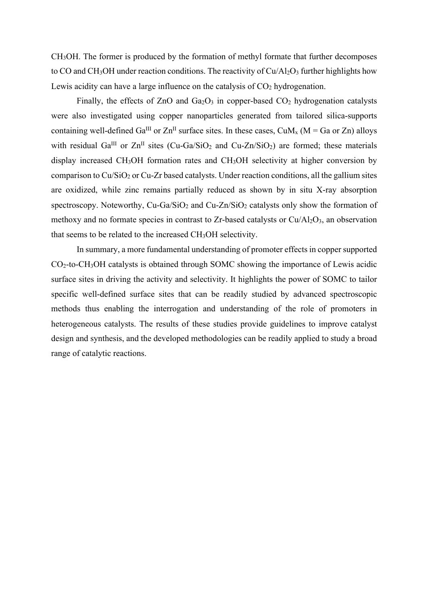CH3OH. The former is produced by the formation of methyl formate that further decomposes to CO and CH<sub>3</sub>OH under reaction conditions. The reactivity of Cu/Al<sub>2</sub>O<sub>3</sub> further highlights how Lewis acidity can have a large influence on the catalysis of  $CO<sub>2</sub>$  hydrogenation.

Finally, the effects of ZnO and  $Ga<sub>2</sub>O<sub>3</sub>$  in copper-based CO<sub>2</sub> hydrogenation catalysts were also investigated using copper nanoparticles generated from tailored silica-supports containing well-defined Ga<sup>III</sup> or  $\text{Zn}^{\text{II}}$  surface sites. In these cases, CuM<sub>x</sub> (M = Ga or Zn) alloys with residual Ga<sup>III</sup> or  $Zn^{II}$  sites (Cu-Ga/SiO<sub>2</sub> and Cu-Zn/SiO<sub>2</sub>) are formed; these materials display increased CH3OH formation rates and CH3OH selectivity at higher conversion by comparison to  $Cu/SiO<sub>2</sub>$  or Cu-Zr based catalysts. Under reaction conditions, all the gallium sites are oxidized, while zinc remains partially reduced as shown by in situ X-ray absorption spectroscopy. Noteworthy, Cu-Ga/SiO<sub>2</sub> and Cu-Zn/SiO<sub>2</sub> catalysts only show the formation of methoxy and no formate species in contrast to Zr-based catalysts or  $Cu/Al<sub>2</sub>O<sub>3</sub>$ , an observation that seems to be related to the increased CH3OH selectivity.

In summary, a more fundamental understanding of promoter effects in copper supported CO2-to-CH3OH catalysts is obtained through SOMC showing the importance of Lewis acidic surface sites in driving the activity and selectivity. It highlights the power of SOMC to tailor specific well-defined surface sites that can be readily studied by advanced spectroscopic methods thus enabling the interrogation and understanding of the role of promoters in heterogeneous catalysts. The results of these studies provide guidelines to improve catalyst design and synthesis, and the developed methodologies can be readily applied to study a broad range of catalytic reactions.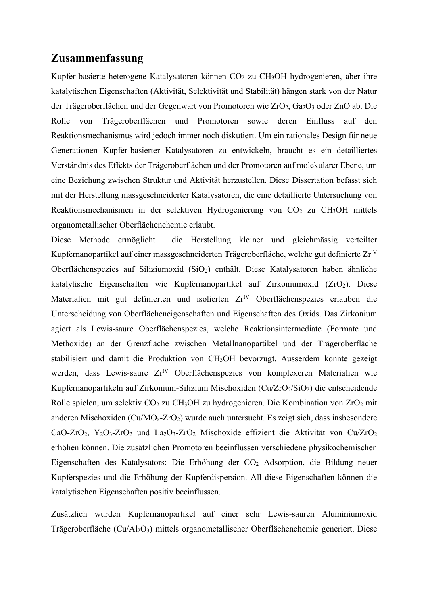## **Zusammenfassung**

Kupfer-basierte heterogene Katalysatoren können  $CO<sub>2</sub>$  zu CH<sub>3</sub>OH hydrogenieren, aber ihre katalytischen Eigenschaften (Aktivität, Selektivität und Stabilität) hängen stark von der Natur der Trägeroberflächen und der Gegenwart von Promotoren wie ZrO<sub>2</sub>, Ga<sub>2</sub>O<sub>3</sub> oder ZnO ab. Die Rolle von Trägeroberflächen und Promotoren sowie deren Einfluss auf den Reaktionsmechanismus wird jedoch immer noch diskutiert. Um ein rationales Design für neue Generationen Kupfer-basierter Katalysatoren zu entwickeln, braucht es ein detailliertes Verständnis des Effekts der Trägeroberflächen und der Promotoren auf molekularer Ebene, um eine Beziehung zwischen Struktur und Aktivität herzustellen. Diese Dissertation befasst sich mit der Herstellung massgeschneiderter Katalysatoren, die eine detaillierte Untersuchung von Reaktionsmechanismen in der selektiven Hydrogenierung von CO<sub>2</sub> zu CH<sub>3</sub>OH mittels organometallischer Oberflächenchemie erlaubt.

Diese Methode ermöglicht die Herstellung kleiner und gleichmässig verteilter Kupfernanopartikel auf einer massgeschneiderten Trägeroberfläche, welche gut definierte Zr<sup>IV</sup> Oberflächenspezies auf Siliziumoxid (SiO2) enthält. Diese Katalysatoren haben ähnliche katalytische Eigenschaften wie Kupfernanopartikel auf Zirkoniumoxid ( $ZrO<sub>2</sub>$ ). Diese Materialien mit gut definierten und isolierten Zr<sup>IV</sup> Oberflächenspezies erlauben die Unterscheidung von Oberflächeneigenschaften und Eigenschaften des Oxids. Das Zirkonium agiert als Lewis-saure Oberflächenspezies, welche Reaktionsintermediate (Formate und Methoxide) an der Grenzfläche zwischen Metallnanopartikel und der Trägeroberfläche stabilisiert und damit die Produktion von CH3OH bevorzugt. Ausserdem konnte gezeigt werden, dass Lewis-saure Zr<sup>IV</sup> Oberflächenspezies von komplexeren Materialien wie Kupfernanopartikeln auf Zirkonium-Silizium Mischoxiden ( $Cu/ZrO<sub>2</sub>/SiO<sub>2</sub>$ ) die entscheidende Rolle spielen, um selektiv  $CO<sub>2</sub>$  zu CH<sub>3</sub>OH zu hydrogenieren. Die Kombination von ZrO<sub>2</sub> mit anderen Mischoxiden ( $Cu/MO<sub>x</sub>-ZrO<sub>2</sub>$ ) wurde auch untersucht. Es zeigt sich, dass insbesondere CaO-ZrO<sub>2</sub>, Y<sub>2</sub>O<sub>3</sub>-ZrO<sub>2</sub> und La<sub>2</sub>O<sub>3</sub>-ZrO<sub>2</sub> Mischoxide effizient die Aktivität von Cu/ZrO<sub>2</sub> erhöhen können. Die zusätzlichen Promotoren beeinflussen verschiedene physikochemischen Eigenschaften des Katalysators: Die Erhöhung der CO<sub>2</sub> Adsorption, die Bildung neuer Kupferspezies und die Erhöhung der Kupferdispersion. All diese Eigenschaften können die katalytischen Eigenschaften positiv beeinflussen.

Zusätzlich wurden Kupfernanopartikel auf einer sehr Lewis-sauren Aluminiumoxid Trägeroberfläche (Cu/Al2O3) mittels organometallischer Oberflächenchemie generiert. Diese